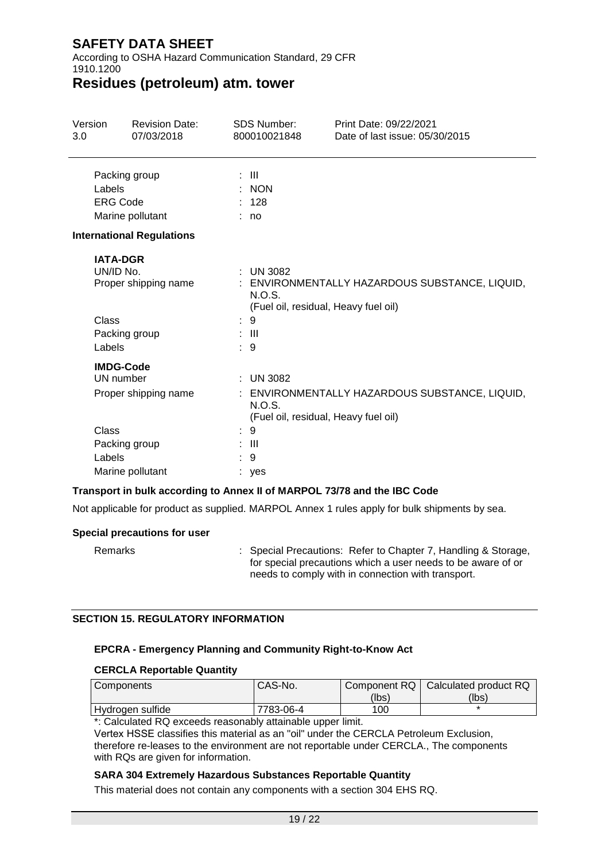According to OSHA Hazard Communication Standard, 29 CFR 1910.1200

### **Residues (petroleum) atm. tower**

| Version   | <b>Revision Date:</b>            | 95₿            | <b>SDS Number:</b> | Print Date: 4/01/2022<br>Date of last issue: 4/01/2022                                 |
|-----------|----------------------------------|----------------|--------------------|----------------------------------------------------------------------------------------|
|           | Packing group                    | ÷ III          |                    |                                                                                        |
| Labels    |                                  |                | : NON              |                                                                                        |
|           | <b>ERG Code</b>                  | : 128          |                    |                                                                                        |
|           | Marine pollutant                 | no             |                    |                                                                                        |
|           | <b>International Regulations</b> |                |                    |                                                                                        |
| UN/ID No. | <b>IATA-DGR</b>                  | ÷              | <b>UN 3082</b>     |                                                                                        |
|           | Proper shipping name             |                | N.O.S.             | : ENVIRONMENTALLY HAZARDOUS SUBSTANCE, LIQUID,<br>(Fuel oil, residual, Heavy fuel oil) |
| Class     |                                  | 9              |                    |                                                                                        |
|           | Packing group                    | : III          |                    |                                                                                        |
| Labels    |                                  | : 9            |                    |                                                                                        |
|           | <b>IMDG-Code</b>                 |                |                    |                                                                                        |
|           | UN number                        |                | $:$ UN 3082        |                                                                                        |
|           | Proper shipping name             |                | N.O.S.             | ENVIRONMENTALLY HAZARDOUS SUBSTANCE, LIQUID,<br>(Fuel oil, residual, Heavy fuel oil)   |
| Class     |                                  | 9              |                    |                                                                                        |
|           | Packing group                    | $\mathbf{III}$ |                    |                                                                                        |
| Labels    |                                  | 9              |                    |                                                                                        |
|           | Marine pollutant                 |                | yes                |                                                                                        |

#### **Transport in bulk according to Annex II of MARPOL 73/78 and the IBC Code**

Not applicable for product as supplied. MARPOL Annex 1 rules apply for bulk shipments by sea.

### **Special precautions for user**

Remarks : Special Precautions: Refer to Chapter 7, Handling & Storage, for special precautions which a user needs to be aware of or needs to comply with in connection with transport.

#### **SECTION 15. REGULATORY INFORMATION**

### **EPCRA - Emergency Planning and Community Right-to-Know Act**

#### **CERCLA Reportable Quantity**

| <b>Components</b> | CAS-No.   |       | Component RQ   Calculated product RQ |
|-------------------|-----------|-------|--------------------------------------|
|                   |           | (lbs) | (lbs)                                |
| Hydrogen sulfide  | 7783-06-4 | 100   |                                      |

\*: Calculated RQ exceeds reasonably attainable upper limit.

Vertex HSSE classifies this material as an "oil" under the CERCLA Petroleum Exclusion, therefore re-leases to the environment are not reportable under CERCLA., The components with RQs are given for information.

#### **SARA 304 Extremely Hazardous Substances Reportable Quantity**

This material does not contain any components with a section 304 EHS RQ.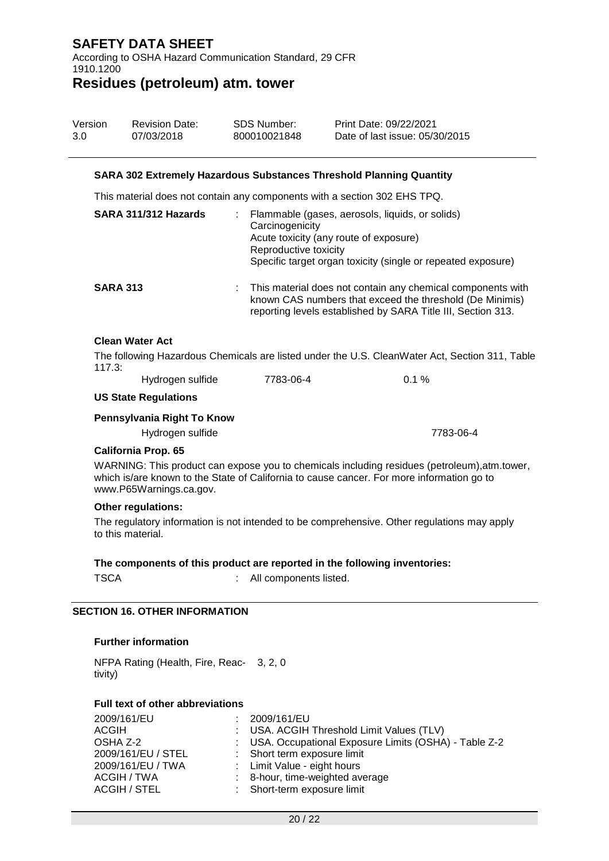According to OSHA Hazard Communication Standard, 29 CFR 1910.1200

# **Residues (petroleum) atm. tower**

| Version | <b>Revision Date:</b> | SDS Number: | Print Date: 4/01/2022         |
|---------|-----------------------|-------------|-------------------------------|
| 1.0     | 4/01/2022             | VRAM00032   | Date of last issue: 4/01/2022 |

#### **SARA 302 Extremely Hazardous Substances Threshold Planning Quantity**

This material does not contain any components with a section 302 EHS TPQ.

|                        | SARA 311/312 Hazards                           | Flammable (gases, aerosols, liquids, or solids)<br>Carcinogenicity<br>Acute toxicity (any route of exposure)<br>Reproductive toxicity<br>Specific target organ toxicity (single or repeated exposure) |           |
|------------------------|------------------------------------------------|-------------------------------------------------------------------------------------------------------------------------------------------------------------------------------------------------------|-----------|
| <b>SARA 313</b>        |                                                | : This material does not contain any chemical components with<br>known CAS numbers that exceed the threshold (De Minimis)<br>reporting levels established by SARA Title III, Section 313.             |           |
| <b>Clean Water Act</b> |                                                |                                                                                                                                                                                                       |           |
| 117.3:                 |                                                | The following Hazardous Chemicals are listed under the U.S. CleanWater Act, Section 311, Table                                                                                                        |           |
|                        | Hydrogen sulfide                               | 7783-06-4                                                                                                                                                                                             | $0.1 \%$  |
|                        | <b>US State Regulations</b>                    |                                                                                                                                                                                                       |           |
|                        | Pennsylvania Right To Know<br>Hydrogen sulfide |                                                                                                                                                                                                       | 7783-06-4 |
|                        |                                                |                                                                                                                                                                                                       |           |

#### **California Prop. 65**

WARNING: This product can expose you to chemicals including residues (petroleum),atm.tower, which is/are known to the State of California to cause cancer. For more information go to www.P65Warnings.ca.gov.

#### **Other regulations:**

The regulatory information is not intended to be comprehensive. Other regulations may apply to this material.

#### **The components of this product are reported in the following inventories:**

| TSCA | All components listed. |
|------|------------------------|

#### **SECTION 16. OTHER INFORMATION**

#### **Further information**

NFPA Rating (Health, Fire, Reac-3, 2, 0 tivity)

#### **Full text of other abbreviations**

| 2009/161/EU        | : 2009/161/EU                                          |
|--------------------|--------------------------------------------------------|
| <b>ACGIH</b>       | : USA. ACGIH Threshold Limit Values (TLV)              |
| OSHA Z-2           | : USA. Occupational Exposure Limits (OSHA) - Table Z-2 |
| 2009/161/EU / STEL | : Short term exposure limit                            |
| 2009/161/EU / TWA  | : Limit Value - eight hours                            |
| ACGIH / TWA        | : 8-hour, time-weighted average                        |
| ACGIH / STEL       | : Short-term exposure limit                            |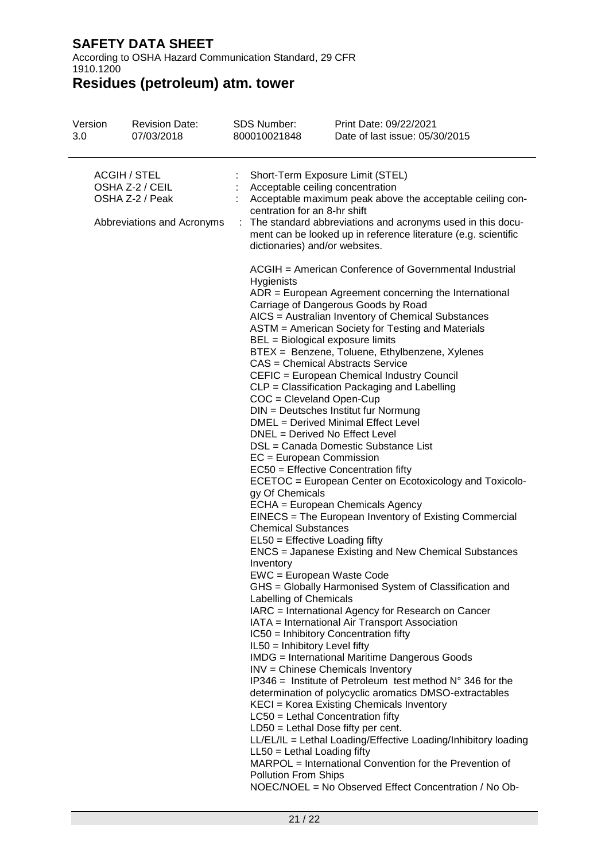According to OSHA Hazard Communication Standard, 29 CFR 1910.1200

# **Residues (petroleum) atm. tower**

| Version<br>1.0                                                                          | <b>Revision Date:</b><br>4/01/2022 | <b>SDS Number:</b><br><b>VRAM00032</b>                                                                                                                                                                                                                                                                                                                                                                                                                                                                               | Print Date: 4/01/2022<br>Date of last issue: 4/01/2022                                                                                                                                                                                                                                                                                                                                                                                                                                                                                                                                                                                                                                                                                                                                                                                                                                                                                                                                                                                                                                                                                                                                                                                                                                                                                                                                                                                                                                 |
|-----------------------------------------------------------------------------------------|------------------------------------|----------------------------------------------------------------------------------------------------------------------------------------------------------------------------------------------------------------------------------------------------------------------------------------------------------------------------------------------------------------------------------------------------------------------------------------------------------------------------------------------------------------------|----------------------------------------------------------------------------------------------------------------------------------------------------------------------------------------------------------------------------------------------------------------------------------------------------------------------------------------------------------------------------------------------------------------------------------------------------------------------------------------------------------------------------------------------------------------------------------------------------------------------------------------------------------------------------------------------------------------------------------------------------------------------------------------------------------------------------------------------------------------------------------------------------------------------------------------------------------------------------------------------------------------------------------------------------------------------------------------------------------------------------------------------------------------------------------------------------------------------------------------------------------------------------------------------------------------------------------------------------------------------------------------------------------------------------------------------------------------------------------------|
| <b>ACGIH / STEL</b><br>OSHA Z-2 / CEIL<br>OSHA Z-2 / Peak<br>Abbreviations and Acronyms |                                    | Short-Term Exposure Limit (STEL)<br>Acceptable ceiling concentration<br>centration for an 8-hr shift<br>dictionaries) and/or websites.                                                                                                                                                                                                                                                                                                                                                                               | Acceptable maximum peak above the acceptable ceiling con-<br>: The standard abbreviations and acronyms used in this docu-<br>ment can be looked up in reference literature (e.g. scientific                                                                                                                                                                                                                                                                                                                                                                                                                                                                                                                                                                                                                                                                                                                                                                                                                                                                                                                                                                                                                                                                                                                                                                                                                                                                                            |
|                                                                                         |                                    | Hygienists<br>BEL = Biological exposure limits<br>CAS = Chemical Abstracts Service<br>$COC = C$ leveland Open-Cup<br>DNEL = Derived No Effect Level<br>EC = European Commission<br>gy Of Chemicals<br><b>Chemical Substances</b><br>EL50 = Effective Loading fifty<br>Inventory<br>EWC = European Waste Code<br>Labelling of Chemicals<br>IL50 = Inhibitory Level fifty<br>LC50 = Lethal Concentration fifty<br>$LD50 = Lethal Does fifty per cent.$<br>$LL50 = Lethal$ Loading fifty<br><b>Pollution From Ships</b> | ACGIH = American Conference of Governmental Industrial<br>$ADR = European Agreement concerning the International$<br>Carriage of Dangerous Goods by Road<br>AICS = Australian Inventory of Chemical Substances<br>ASTM = American Society for Testing and Materials<br>BTEX = Benzene, Toluene, Ethylbenzene, Xylenes<br>CEFIC = European Chemical Industry Council<br>CLP = Classification Packaging and Labelling<br>DIN = Deutsches Institut fur Normung<br>DMEL = Derived Minimal Effect Level<br>DSL = Canada Domestic Substance List<br>EC50 = Effective Concentration fifty<br>ECETOC = European Center on Ecotoxicology and Toxicolo-<br>ECHA = European Chemicals Agency<br>EINECS = The European Inventory of Existing Commercial<br><b>ENCS</b> = Japanese Existing and New Chemical Substances<br>GHS = Globally Harmonised System of Classification and<br>IARC = International Agency for Research on Cancer<br>IATA = International Air Transport Association<br>IC50 = Inhibitory Concentration fifty<br><b>IMDG</b> = International Maritime Dangerous Goods<br>INV = Chinese Chemicals Inventory<br>IP346 = Institute of Petroleum test method $N^{\circ}$ 346 for the<br>determination of polycyclic aromatics DMSO-extractables<br>KECI = Korea Existing Chemicals Inventory<br>LL/EL/IL = Lethal Loading/Effective Loading/Inhibitory loading<br>MARPOL = International Convention for the Prevention of<br>NOEC/NOEL = No Observed Effect Concentration / No Ob- |